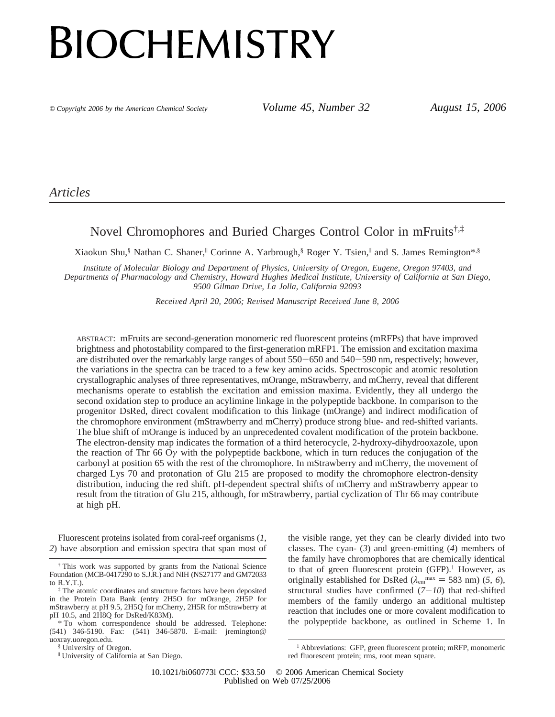# **BIOCHEMISTRY**

*© Copyright 2006 by the American Chemical Society Volume 45, Number 32 August 15, 2006*

*Articles*

# Novel Chromophores and Buried Charges Control Color in mFruits†,‡

Xiaokun Shu,<sup>§</sup> Nathan C. Shaner,<sup>||</sup> Corinne A. Yarbrough,<sup>§</sup> Roger Y. Tsien,<sup>||</sup> and S. James Remington\*,§

Institute of Molecular Biology and Department of Physics, University of Oregon, Eugene, Oregon 97403, and *Departments of Pharmacology and Chemistry, Howard Hughes Medical Institute, University of California at San Diego, 9500 Gilman Dri*V*e, La Jolla, California 92093*

*Recei*V*ed April 20, 2006; Re*V*ised Manuscript Recei*V*ed June 8, 2006*

ABSTRACT: mFruits are second-generation monomeric red fluorescent proteins (mRFPs) that have improved brightness and photostability compared to the first-generation mRFP1. The emission and excitation maxima are distributed over the remarkably large ranges of about 550-650 and 540-590 nm, respectively; however, the variations in the spectra can be traced to a few key amino acids. Spectroscopic and atomic resolution crystallographic analyses of three representatives, mOrange, mStrawberry, and mCherry, reveal that different mechanisms operate to establish the excitation and emission maxima. Evidently, they all undergo the second oxidation step to produce an acylimine linkage in the polypeptide backbone. In comparison to the progenitor DsRed, direct covalent modification to this linkage (mOrange) and indirect modification of the chromophore environment (mStrawberry and mCherry) produce strong blue- and red-shifted variants. The blue shift of mOrange is induced by an unprecedented covalent modification of the protein backbone. The electron-density map indicates the formation of a third heterocycle, 2-hydroxy-dihydrooxazole, upon the reaction of Thr 66 O*γ* with the polypeptide backbone, which in turn reduces the conjugation of the carbonyl at position 65 with the rest of the chromophore. In mStrawberry and mCherry, the movement of charged Lys 70 and protonation of Glu 215 are proposed to modify the chromophore electron-density distribution, inducing the red shift. pH-dependent spectral shifts of mCherry and mStrawberry appear to result from the titration of Glu 215, although, for mStrawberry, partial cyclization of Thr 66 may contribute at high pH.

Fluorescent proteins isolated from coral-reef organisms (*1*, *2*) have absorption and emission spectra that span most of

§ University of Oregon.

the visible range, yet they can be clearly divided into two classes. The cyan- (*3*) and green-emitting (*4*) members of the family have chromophores that are chemically identical to that of green fluorescent protein  $(GFP)<sup>1</sup>$  However, as originally established for DsRed ( $\lambda_{\text{em}}^{\text{max}} = 583 \text{ nm}$ ) (5, 6), structural studies have confirmed  $(7-10)$  that red-shifted members of the family undergo an additional multistep reaction that includes one or more covalent modification to the polypeptide backbone, as outlined in Scheme 1. In

<sup>†</sup> This work was supported by grants from the National Science Foundation (MCB-0417290 to S.J.R.) and NIH (NS27177 and GM72033 to R.Y.T.).

<sup>‡</sup> The atomic coordinates and structure factors have been deposited in the Protein Data Bank (entry 2H5O for mOrange, 2H5P for mStrawberry at pH 9.5, 2H5Q for mCherry, 2H5R for mStrawberry at pH 10.5, and 2H8Q for DsRed/K83M).

<sup>\*</sup> To whom correspondence should be addressed. Telephone: (541) 346-5190. Fax: (541) 346-5870. E-mail: jremington@ uoxray.uoregon.edu.

<sup>|</sup> University of California at San Diego.

<sup>&</sup>lt;sup>1</sup> Abbreviations: GFP, green fluorescent protein; mRFP, monomeric red fluorescent protein; rms, root mean square.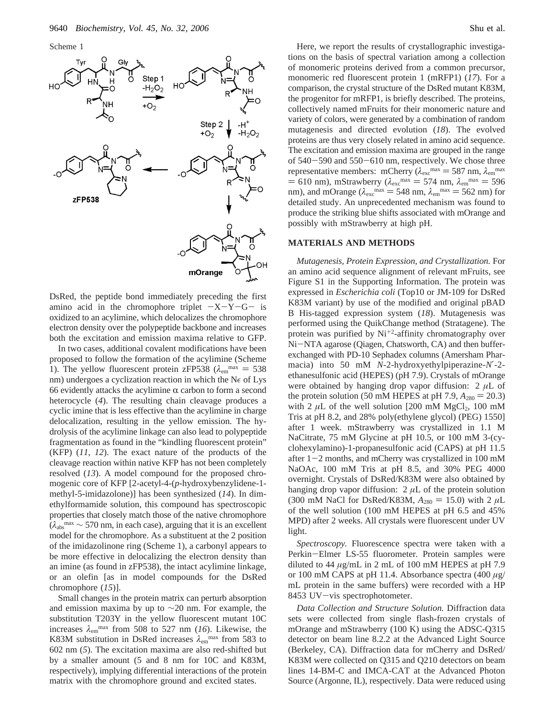Scheme 1



DsRed, the peptide bond immediately preceding the first amino acid in the chromophore triplet  $-X-Y-G-$  is oxidized to an acylimine, which delocalizes the chromophore electron density over the polypeptide backbone and increases both the excitation and emission maxima relative to GFP.

In two cases, additional covalent modifications have been proposed to follow the formation of the acylimine (Scheme 1). The yellow fluorescent protein zFP538 ( $\lambda_{\rm em}$ <sup>max</sup> = 538 nm) undergoes a cyclization reaction in which the N $\epsilon$  of Lys 66 evidently attacks the acylimine  $\alpha$  carbon to form a second heterocycle (*4*). The resulting chain cleavage produces a cyclic imine that is less effective than the acylimine in charge delocalization, resulting in the yellow emission. The hydrolysis of the acylimine linkage can also lead to polypeptide fragmentation as found in the "kindling fluorescent protein" (KFP) (*11*, *12*). The exact nature of the products of the cleavage reaction within native KFP has not been completely resolved (*13*). A model compound for the proposed chromogenic core of KFP [2-acetyl-4-(*p*-hydroxybenzylidene-1 methyl-5-imidazolone)] has been synthesized (*14*). In dimethylformamide solution, this compound has spectroscopic properties that closely match those of the native chromophore  $(\lambda_{\text{abs}}^{\text{max}} \sim 570 \text{ nm}, \text{ in each case})$ , arguing that it is an excellent model for the chromophore. As a substituent at the 2 position of the imidazolinone ring (Scheme 1), a carbonyl appears to be more effective in delocalizing the electron density than an imine (as found in zFP538), the intact acylimine linkage, or an olefin [as in model compounds for the DsRed chromophore (*15*)].

Small changes in the protein matrix can perturb absorption and emission maxima by up to ∼20 nm. For example, the substitution T203Y in the yellow fluorescent mutant 10C increases  $\lambda_{\text{em}}^{\text{max}}$  from 508 to 527 nm (16). Likewise, the K83M substitution in DsRed increases  $\lambda_{\text{em}}$ <sup>max</sup> from 583 to 602 nm (*5*). The excitation maxima are also red-shifted but by a smaller amount (5 and 8 nm for 10C and K83M, respectively), implying differential interactions of the protein matrix with the chromophore ground and excited states.

Here, we report the results of crystallographic investigations on the basis of spectral variation among a collection of monomeric proteins derived from a common precursor, monomeric red fluorescent protein 1 (mRFP1) (*17*). For a comparison, the crystal structure of the DsRed mutant K83M, the progenitor for mRFP1, is briefly described. The proteins, collectively named mFruits for their monomeric nature and variety of colors, were generated by a combination of random mutagenesis and directed evolution (*18*). The evolved proteins are thus very closely related in amino acid sequence. The excitation and emission maxima are grouped in the range of 540-590 and 550-610 nm, respectively. We chose three representative members: mCherry ( $\lambda_{\text{exc}}^{\text{max}} = 587 \text{ nm}$ ,  $\lambda_{\text{em}}^{\text{max}}$  $= 610$  nm), mStrawberry ( $\lambda_{\text{exc}}^{\text{max}} = 574$  nm,  $\lambda_{\text{em}}^{\text{max}} = 596$ nm), and mOrange ( $\lambda_{\text{exc}}$ <sup>max</sup> = 548 nm,  $\lambda_{\text{em}}$ <sup>max</sup> = 562 nm) for detailed study. An unprecedented mechanism was found to produce the striking blue shifts associated with mOrange and possibly with mStrawberry at high pH.

#### **MATERIALS AND METHODS**

*Mutagenesis, Protein Expression, and Crystallization.* For an amino acid sequence alignment of relevant mFruits, see Figure S1 in the Supporting Information. The protein was expressed in *Escherichia coli* (Top10 or JM-109 for DsRed K83M variant) by use of the modified and original pBAD B His-tagged expression system (*18*). Mutagenesis was performed using the QuikChange method (Stratagene). The protein was purified by  $Ni^{+2}$ -affinity chromatography over Ni-NTA agarose (Qiagen, Chatsworth, CA) and then bufferexchanged with PD-10 Sephadex columns (Amersham Pharmacia) into 50 mM *N*-2-hydroxyethylpiperazine-*N*′-2 ethanesulfonic acid (HEPES) (pH 7.9). Crystals of mOrange were obtained by hanging drop vapor diffusion:  $2 \mu L$  of the protein solution (50 mM HEPES at pH 7.9,  $A_{280} = 20.3$ ) with 2  $\mu$ L of the well solution [200 mM MgCl<sub>2</sub>, 100 mM Tris at pH 8.2, and 28% poly(ethylene glycol) (PEG) 1550] after 1 week. mStrawberry was crystallized in 1.1 M NaCitrate, 75 mM Glycine at pH 10.5, or 100 mM 3-(cyclohexylamino)-1-propanesulfonic acid (CAPS) at pH 11.5 after  $1-2$  months, and mCherry was crystallized in 100 mM NaOAc, 100 mM Tris at pH 8.5, and 30% PEG 4000 overnight. Crystals of DsRed/K83M were also obtained by hanging drop vapor diffusion:  $2 \mu L$  of the protein solution (300 mM NaCl for DsRed/K83M,  $A_{280} = 15.0$ ) with 2  $\mu$ L of the well solution (100 mM HEPES at pH 6.5 and 45% MPD) after 2 weeks. All crystals were fluorescent under UV light.

*Spectroscopy.* Fluorescence spectra were taken with a Perkin-Elmer LS-55 fluorometer. Protein samples were diluted to 44 *µ*g/mL in 2 mL of 100 mM HEPES at pH 7.9 or 100 mM CAPS at pH 11.4. Absorbance spectra (400 *µ*g/ mL protein in the same buffers) were recorded with a HP 8453 UV-vis spectrophotometer.

*Data Collection and Structure Solution.* Diffraction data sets were collected from single flash-frozen crystals of mOrange and mStrawberry (100 K) using the ADSC-Q315 detector on beam line 8.2.2 at the Advanced Light Source (Berkeley, CA). Diffraction data for mCherry and DsRed/ K83M were collected on Q315 and Q210 detectors on beam lines 14-BM-C and IMCA-CAT at the Advanced Photon Source (Argonne, IL), respectively. Data were reduced using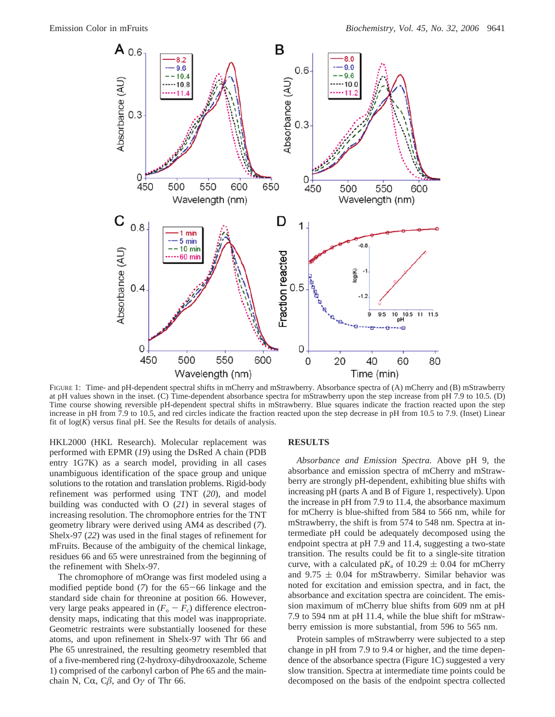

FIGURE 1: Time- and pH-dependent spectral shifts in mCherry and mStrawberry. Absorbance spectra of (A) mCherry and (B) mStrawberry at pH values shown in the inset. (C) Time-dependent absorbance spectra for mStrawberry upon the step increase from pH 7.9 to 10.5. (D) Time course showing reversible pH-dependent spectral shifts in mStrawberry. Blue squares indicate the fraction reacted upon the step increase in pH from 7.9 to 10.5, and red circles indicate the fraction reacted upon the step decrease in pH from 10.5 to 7.9. (Inset) Linear fit of  $log(K)$  versus final pH. See the Results for details of analysis.

HKL2000 (HKL Research). Molecular replacement was performed with EPMR (*19*) using the DsRed A chain (PDB entry 1G7K) as a search model, providing in all cases unambiguous identification of the space group and unique solutions to the rotation and translation problems. Rigid-body refinement was performed using TNT (*20*), and model building was conducted with O (*21*) in several stages of increasing resolution. The chromophore entries for the TNT geometry library were derived using AM4 as described (*7*). Shelx-97 (*22*) was used in the final stages of refinement for mFruits. Because of the ambiguity of the chemical linkage, residues 66 and 65 were unrestrained from the beginning of the refinement with Shelx-97.

The chromophore of mOrange was first modeled using a modified peptide bond (*7*) for the 65-66 linkage and the standard side chain for threonine at position 66. However, very large peaks appeared in  $(F_o - F_c)$  difference electrondensity maps, indicating that this model was inappropriate. Geometric restraints were substantially loosened for these atoms, and upon refinement in Shelx-97 with Thr 66 and Phe 65 unrestrained, the resulting geometry resembled that of a five-membered ring (2-hydroxy-dihydrooxazole, Scheme 1) comprised of the carbonyl carbon of Phe 65 and the mainchain N, C $\alpha$ , C $\beta$ , and O $\gamma$  of Thr 66.

#### **RESULTS**

*Absorbance and Emission Spectra.* Above pH 9, the absorbance and emission spectra of mCherry and mStrawberry are strongly pH-dependent, exhibiting blue shifts with increasing pH (parts A and B of Figure 1, respectively). Upon the increase in pH from 7.9 to 11.4, the absorbance maximum for mCherry is blue-shifted from 584 to 566 nm, while for mStrawberry, the shift is from 574 to 548 nm. Spectra at intermediate pH could be adequately decomposed using the endpoint spectra at pH 7.9 and 11.4, suggesting a two-state transition. The results could be fit to a single-site titration curve, with a calculated  $pK_a$  of 10.29  $\pm$  0.04 for mCherry and  $9.75 \pm 0.04$  for mStrawberry. Similar behavior was noted for excitation and emission spectra, and in fact, the absorbance and excitation spectra are coincident. The emission maximum of mCherry blue shifts from 609 nm at pH 7.9 to 594 nm at pH 11.4, while the blue shift for mStrawberry emission is more substantial, from 596 to 565 nm.

Protein samples of mStrawberry were subjected to a step change in pH from 7.9 to 9.4 or higher, and the time dependence of the absorbance spectra (Figure 1C) suggested a very slow transition. Spectra at intermediate time points could be decomposed on the basis of the endpoint spectra collected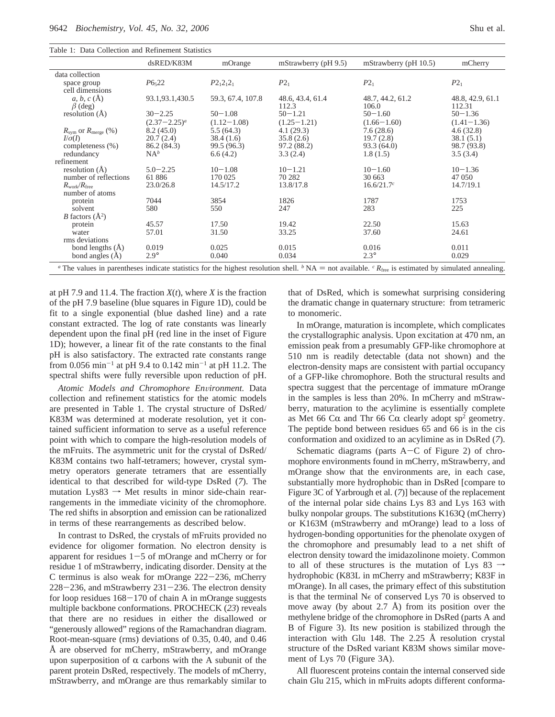| Table 1: Data Collection and Refinement Statistics |  |
|----------------------------------------------------|--|
|----------------------------------------------------|--|

|                              | dsRED/K83M        | mOrange           | mStrawberry (pH 9.5)      | mStrawberry (pH 10.5)                                                                                                                                                                                                  | mCherry                    |
|------------------------------|-------------------|-------------------|---------------------------|------------------------------------------------------------------------------------------------------------------------------------------------------------------------------------------------------------------------|----------------------------|
| data collection              |                   |                   |                           |                                                                                                                                                                                                                        |                            |
| space group                  | $P6_{5}22$        | $P2_12_12_1$      | $P2_1$                    | $P2_1$                                                                                                                                                                                                                 | $P2_1$                     |
| cell dimensions              |                   |                   |                           |                                                                                                                                                                                                                        |                            |
| a, b, c(A)<br>$\beta$ (deg)  | 93.1, 93.1, 430.5 | 59.3, 67.4, 107.8 | 48.6, 43.4, 61.4<br>112.3 | 48.7, 44.2, 61.2<br>106.0                                                                                                                                                                                              | 48.8, 42.9, 61.1<br>112.31 |
| resolution $(\text{\AA})$    | $30 - 2.25$       | $50 - 1.08$       | $50 - 1.21$               | $50 - 1.60$                                                                                                                                                                                                            | $50 - 1.36$                |
|                              | $(2.37 - 2.25)^a$ | $(1.12 - 1.08)$   | $(1.25 - 1.21)$           | $(1.66 - 1.60)$                                                                                                                                                                                                        | $(1.41 - 1.36)$            |
| $R_{sym}$ or $R_{merge}$ (%) | 8.2(45.0)         | 5.5(64.3)         | 4.1(29.3)                 | 7.6(28.6)                                                                                                                                                                                                              | 4.6(32.8)                  |
| $I/\sigma(I)$                | 20.7(2.4)         | 38.4(1.6)         | 35.8(2.6)                 | 19.7(2.8)                                                                                                                                                                                                              | 38.1(5.1)                  |
| completeness (%)             | 86.2 (84.3)       | 99.5 (96.3)       | 97.2 (88.2)               | 93.3(64.0)                                                                                                                                                                                                             | 98.7 (93.8)                |
| redundancy                   | $NA^b$            | 6.6(4.2)          | 3.3(2.4)                  | 1.8(1.5)                                                                                                                                                                                                               | 3.5(3.4)                   |
| refinement                   |                   |                   |                           |                                                                                                                                                                                                                        |                            |
| resolution $(\dot{A})$       | $5.0 - 2.25$      | $10 - 1.08$       | $10 - 1.21$               | $10 - 1.60$                                                                                                                                                                                                            | $10 - 1.36$                |
| number of reflections        | 61886             | 170 025           | 70 282                    | 30 663                                                                                                                                                                                                                 | 47 050                     |
| $R_{\rm work}/R_{\rm free}$  | 23.0/26.8         | 14.5/17.2         | 13.8/17.8                 | 16.6/21.7c                                                                                                                                                                                                             | 14.7/19.1                  |
| number of atoms              |                   |                   |                           |                                                                                                                                                                                                                        |                            |
| protein                      | 7044              | 3854              | 1826                      | 1787                                                                                                                                                                                                                   | 1753                       |
| solvent                      | 580               | 550               | 247                       | 283                                                                                                                                                                                                                    | 225                        |
| <i>B</i> factors $(A^2)$     |                   |                   |                           |                                                                                                                                                                                                                        |                            |
| protein                      | 45.57             | 17.50             | 19.42                     | 22.50                                                                                                                                                                                                                  | 15.63                      |
| water                        | 57.01             | 31.50             | 33.25                     | 37.60                                                                                                                                                                                                                  | 24.61                      |
| rms deviations               |                   |                   |                           |                                                                                                                                                                                                                        |                            |
| bond lengths $(\text{\AA})$  | 0.019             | 0.025             | 0.015                     | 0.016                                                                                                                                                                                                                  | 0.011                      |
| bond angles $(\overline{A})$ | $2.9^\circ$       | 0.040             | 0.034                     | $2.3^\circ$                                                                                                                                                                                                            | 0.029                      |
|                              |                   |                   |                           | <sup><i>a</i></sup> The values in parentheses indicate statistics for the highest resolution shell. <sup><i>b</i></sup> NA = not available. <sup><i>c</i></sup> R <sub>free</sub> is estimated by simulated annealing. |                            |

at pH 7.9 and 11.4. The fraction  $X(t)$ , where  $X$  is the fraction of the pH 7.9 baseline (blue squares in Figure 1D), could be fit to a single exponential (blue dashed line) and a rate constant extracted. The log of rate constants was linearly dependent upon the final pH (red line in the inset of Figure 1D); however, a linear fit of the rate constants to the final pH is also satisfactory. The extracted rate constants range from 0.056 min<sup>-1</sup> at pH 9.4 to 0.142 min<sup>-1</sup> at pH 11.2. The spectral shifts were fully reversible upon reduction of pH.

Atomic Models and Chromophore Environment. Data collection and refinement statistics for the atomic models are presented in Table 1. The crystal structure of DsRed/ K83M was determined at moderate resolution, yet it contained sufficient information to serve as a useful reference point with which to compare the high-resolution models of the mFruits. The asymmetric unit for the crystal of DsRed/ K83M contains two half-tetramers; however, crystal symmetry operators generate tetramers that are essentially identical to that described for wild-type DsRed (*7*). The mutation  $Lys83 \rightarrow Met$  results in minor side-chain rearrangements in the immediate vicinity of the chromophore. The red shifts in absorption and emission can be rationalized in terms of these rearrangements as described below.

In contrast to DsRed, the crystals of mFruits provided no evidence for oligomer formation. No electron density is apparent for residues  $1-5$  of mOrange and mCherry or for residue 1 of mStrawberry, indicating disorder. Density at the C terminus is also weak for mOrange 222-236, mCherry  $228-236$ , and mStrawberry  $231-236$ . The electron density for loop residues  $168-170$  of chain A in mOrange suggests multiple backbone conformations. PROCHECK (*23*) reveals that there are no residues in either the disallowed or "generously allowed" regions of the Ramachandran diagram. Root-mean-square (rms) deviations of 0.35, 0.40, and 0.46 Å are observed for mCherry, mStrawberry, and mOrange upon superposition of  $\alpha$  carbons with the A subunit of the parent protein DsRed, respectively. The models of mCherry, mStrawberry, and mOrange are thus remarkably similar to

that of DsRed, which is somewhat surprising considering the dramatic change in quaternary structure: from tetrameric to monomeric.

In mOrange, maturation is incomplete, which complicates the crystallographic analysis. Upon excitation at 470 nm, an emission peak from a presumably GFP-like chromophore at 510 nm is readily detectable (data not shown) and the electron-density maps are consistent with partial occupancy of a GFP-like chromophore. Both the structural results and spectra suggest that the percentage of immature mOrange in the samples is less than 20%. In mCherry and mStrawberry, maturation to the acylimine is essentially complete as Met 66 C $\alpha$  and Thr 66 C $\alpha$  clearly adopt sp<sup>2</sup> geometry. The peptide bond between residues 65 and 66 is in the cis conformation and oxidized to an acylimine as in DsRed (*7*).

Schematic diagrams (parts  $A-C$  of Figure 2) of chromophore environments found in mCherry, mStrawberry, and mOrange show that the environments are, in each case, substantially more hydrophobic than in DsRed [compare to Figure 3C of Yarbrough et al. (*7*)] because of the replacement of the internal polar side chains Lys 83 and Lys 163 with bulky nonpolar groups. The substitutions K163Q (mCherry) or K163M (mStrawberry and mOrange) lead to a loss of hydrogen-bonding opportunities for the phenolate oxygen of the chromophore and presumably lead to a net shift of electron density toward the imidazolinone moiety. Common to all of these structures is the mutation of Lys 83  $\rightarrow$ hydrophobic (K83L in mCherry and mStrawberry; K83F in mOrange). In all cases, the primary effect of this substitution is that the terminal N $\epsilon$  of conserved Lys 70 is observed to move away (by about 2.7 Å) from its position over the methylene bridge of the chromophore in DsRed (parts A and B of Figure 3). Its new position is stabilized through the interaction with Glu 148. The 2.25 Å resolution crystal structure of the DsRed variant K83M shows similar movement of Lys 70 (Figure 3A).

All fluorescent proteins contain the internal conserved side chain Glu 215, which in mFruits adopts different conforma-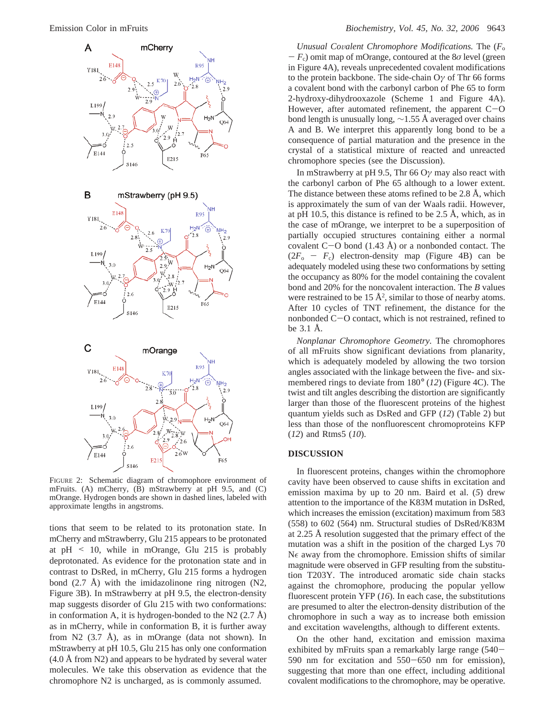

FIGURE 2: Schematic diagram of chromophore environment of mFruits. (A) mCherry, (B) mStrawberry at pH 9.5, and (C) mOrange. Hydrogen bonds are shown in dashed lines, labeled with approximate lengths in angstroms.

tions that seem to be related to its protonation state. In mCherry and mStrawberry, Glu 215 appears to be protonated at  $pH \leq 10$ , while in mOrange, Glu 215 is probably deprotonated. As evidence for the protonation state and in contrast to DsRed, in mCherry, Glu 215 forms a hydrogen bond  $(2.7 \text{ Å})$  with the imidazolinone ring nitrogen  $(N2, 1)$ Figure 3B). In mStrawberry at pH 9.5, the electron-density map suggests disorder of Glu 215 with two conformations: in conformation A, it is hydrogen-bonded to the N2  $(2.7 \text{ Å})$ as in mCherry, while in conformation B, it is further away from N2  $(3.7 \text{ Å})$ , as in mOrange (data not shown). In mStrawberry at pH 10.5, Glu 215 has only one conformation (4.0 Å from N2) and appears to be hydrated by several water molecules. We take this observation as evidence that the chromophore N2 is uncharged, as is commonly assumed.

*Unusual Co*V*alent Chromophore Modifications.* The (*F*<sup>o</sup>  $-F_c$ ) omit map of mOrange, contoured at the 8*σ* level (green in Figure 4A), reveals unprecedented covalent modifications to the protein backbone. The side-chain O*γ* of Thr 66 forms a covalent bond with the carbonyl carbon of Phe 65 to form 2-hydroxy-dihydrooxazole (Scheme 1 and Figure 4A). However, after automated refinement, the apparent  $C-O$ bond length is unusually long, ∼1.55 Å averaged over chains A and B. We interpret this apparently long bond to be a consequence of partial maturation and the presence in the crystal of a statistical mixture of reacted and unreacted chromophore species (see the Discussion).

In mStrawberry at pH 9.5, Thr 66 O*γ* may also react with the carbonyl carbon of Phe 65 although to a lower extent. The distance between these atoms refined to be 2.8 Å, which is approximately the sum of van der Waals radii. However, at pH 10.5, this distance is refined to be 2.5 Å, which, as in the case of mOrange, we interpret to be a superposition of partially occupied structures containing either a normal covalent  $C-O$  bond  $(1.43 \text{ Å})$  or a nonbonded contact. The  $(2F_0 - F_c)$  electron-density map (Figure 4B) can be adequately modeled using these two conformations by setting the occupancy as 80% for the model containing the covalent bond and 20% for the noncovalent interaction. The *B* values were restrained to be  $15 \text{ Å}^2$ , similar to those of nearby atoms. After 10 cycles of TNT refinement, the distance for the nonbonded C-O contact, which is not restrained, refined to be 3.1 Å.

*Nonplanar Chromophore Geometry.* The chromophores of all mFruits show significant deviations from planarity, which is adequately modeled by allowing the two torsion angles associated with the linkage between the five- and sixmembered rings to deviate from 180° (*12*) (Figure 4C). The twist and tilt angles describing the distortion are significantly larger than those of the fluorescent proteins of the highest quantum yields such as DsRed and GFP (*12*) (Table 2) but less than those of the nonfluorescent chromoproteins KFP (*12*) and Rtms5 (*10*).

#### **DISCUSSION**

In fluorescent proteins, changes within the chromophore cavity have been observed to cause shifts in excitation and emission maxima by up to 20 nm. Baird et al. (*5*) drew attention to the importance of the K83M mutation in DsRed, which increases the emission (excitation) maximum from 583 (558) to 602 (564) nm. Structural studies of DsRed/K83M at 2.25 Å resolution suggested that the primary effect of the mutation was a shift in the position of the charged Lys 70  $N_f$  away from the chromophore. Emission shifts of similar magnitude were observed in GFP resulting from the substitution T203Y. The introduced aromatic side chain stacks against the chromophore, producing the popular yellow fluorescent protein YFP (*16*). In each case, the substitutions are presumed to alter the electron-density distribution of the chromophore in such a way as to increase both emission and excitation wavelengths, although to different extents.

On the other hand, excitation and emission maxima exhibited by mFruits span a remarkably large range (540-590 nm for excitation and 550-650 nm for emission), suggesting that more than one effect, including additional covalent modifications to the chromophore, may be operative.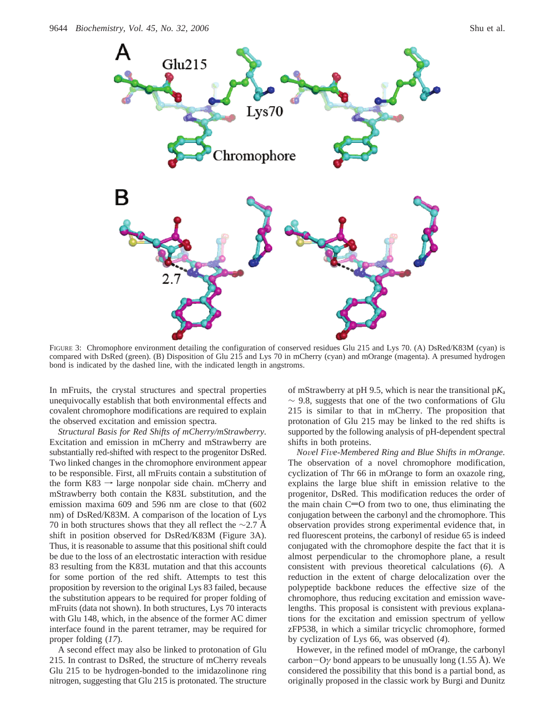

FIGURE 3: Chromophore environment detailing the configuration of conserved residues Glu 215 and Lys 70. (A) DsRed/K83M (cyan) is compared with DsRed (green). (B) Disposition of Glu 215 and Lys 70 in mCherry (cyan) and mOrange (magenta). A presumed hydrogen bond is indicated by the dashed line, with the indicated length in angstroms.

In mFruits, the crystal structures and spectral properties unequivocally establish that both environmental effects and covalent chromophore modifications are required to explain the observed excitation and emission spectra.

*Structural Basis for Red Shifts of mCherry/mStrawberry.* Excitation and emission in mCherry and mStrawberry are substantially red-shifted with respect to the progenitor DsRed. Two linked changes in the chromophore environment appear to be responsible. First, all mFruits contain a substitution of the form  $K83 \rightarrow \text{large nonpolar side chain.}$  mCherry and mStrawberry both contain the K83L substitution, and the emission maxima 609 and 596 nm are close to that (602 nm) of DsRed/K83M. A comparison of the location of Lys 70 in both structures shows that they all reflect the  $\sim$ 2.7 Å shift in position observed for DsRed/K83M (Figure 3A). Thus, it is reasonable to assume that this positional shift could be due to the loss of an electrostatic interaction with residue 83 resulting from the K83L mutation and that this accounts for some portion of the red shift. Attempts to test this proposition by reversion to the original Lys 83 failed, because the substitution appears to be required for proper folding of mFruits (data not shown). In both structures, Lys 70 interacts with Glu 148, which, in the absence of the former AC dimer interface found in the parent tetramer, may be required for proper folding (*17*).

A second effect may also be linked to protonation of Glu 215. In contrast to DsRed, the structure of mCherry reveals Glu 215 to be hydrogen-bonded to the imidazolinone ring nitrogen, suggesting that Glu 215 is protonated. The structure

of mStrawberry at pH 9.5, which is near the transitional p*K*<sup>a</sup>  $\sim$  9.8, suggests that one of the two conformations of Glu 215 is similar to that in mCherry. The proposition that protonation of Glu 215 may be linked to the red shifts is supported by the following analysis of pH-dependent spectral shifts in both proteins.

*No*V*el Fi*V*e-Membered Ring and Blue Shifts in mOrange.* The observation of a novel chromophore modification, cyclization of Thr 66 in mOrange to form an oxazole ring, explains the large blue shift in emission relative to the progenitor, DsRed. This modification reduces the order of the main chain  $C=O$  from two to one, thus eliminating the conjugation between the carbonyl and the chromophore. This observation provides strong experimental evidence that, in red fluorescent proteins, the carbonyl of residue 65 is indeed conjugated with the chromophore despite the fact that it is almost perpendicular to the chromophore plane, a result consistent with previous theoretical calculations (*6*). A reduction in the extent of charge delocalization over the polypeptide backbone reduces the effective size of the chromophore, thus reducing excitation and emission wavelengths. This proposal is consistent with previous explanations for the excitation and emission spectrum of yellow zFP538, in which a similar tricyclic chromophore, formed by cyclization of Lys 66, was observed (*4*).

However, in the refined model of mOrange, the carbonyl carbon $-O\gamma$  bond appears to be unusually long (1.55 Å). We considered the possibility that this bond is a partial bond, as originally proposed in the classic work by Burgi and Dunitz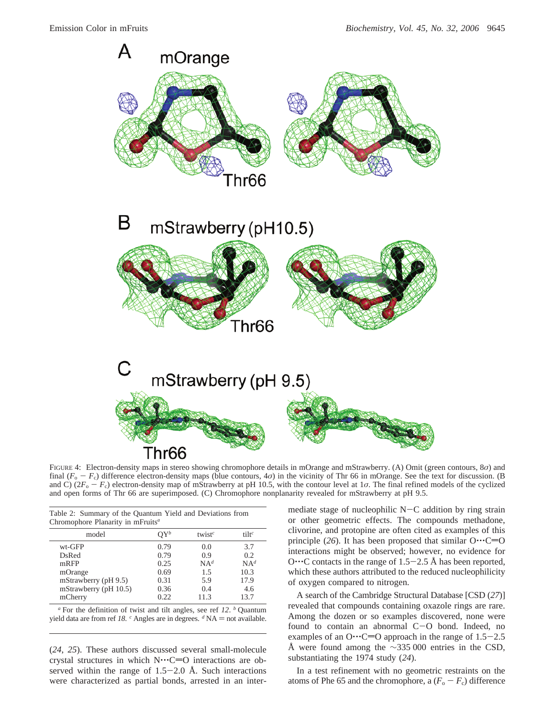

FIGURE 4: Electron-density maps in stereo showing chromophore details in mOrange and mStrawberry. (A) Omit (green contours, 8*σ*) and final  $(F_o - F_c)$  difference electron-density maps (blue contours, 4*σ*) in the vicinity of Thr 66 in mOrange. See the text for discussion. (B and C)  $(2F_o - F_c)$  electron-density map of mStrawberry at pH 10.5, with the contour level at 1*σ*. The final refined models of the cyclized and open forms of Thr 66 are superimposed. (C) Chromophore nonplanarity revealed for mStrawberry at pH 9.5.

| Table 2: Summary of the Quantum Yield and Deviations from<br>Chromophore Planarity in mFruits <sup><math>a</math></sup> |                 |                                 |                 |  |  |  |
|-------------------------------------------------------------------------------------------------------------------------|-----------------|---------------------------------|-----------------|--|--|--|
| model                                                                                                                   | $\mathcal{Y}^b$ | twist <sup><math>c</math></sup> | $tilt^c$        |  |  |  |
| wt-GFP                                                                                                                  | 0.79            | 0.0                             | 3.7             |  |  |  |
| DsRed                                                                                                                   | 0.79            | 0.9                             | 0.2             |  |  |  |
| mRFP                                                                                                                    | 0.25            | NA <sup>d</sup>                 | NA <sup>d</sup> |  |  |  |
| mOrange                                                                                                                 | 0.69            | 1.5                             | 10.3            |  |  |  |
| mStrawberry (pH 9.5)                                                                                                    | 0.31            | 5.9                             | 17.9            |  |  |  |
| mStrawberry (pH 10.5)                                                                                                   | 0.36            | 0.4                             | 4.6             |  |  |  |
| mCherry                                                                                                                 | 0.22.           | 11.3                            | 13.7            |  |  |  |

*<sup>a</sup>* For the definition of twist and tilt angles, see ref *12*. *<sup>b</sup>* Quantum yield data are from ref 18.  $\degree$  Angles are in degrees.  $\degree$  NA = not available.

(*24*, *25*). These authors discussed several small-molecule crystal structures in which  $N^{\cdots}C=O$  interactions are observed within the range of  $1.5-2.0$  Å. Such interactions were characterized as partial bonds, arrested in an intermediate stage of nucleophilic N-C addition by ring strain or other geometric effects. The compounds methadone, clivorine, and protopine are often cited as examples of this principle (26). It has been proposed that similar  $O \cdot C = O$ interactions might be observed; however, no evidence for O $\cdots$ C contacts in the range of 1.5–2.5 Å has been reported, which these authors attributed to the reduced nucleophilicity of oxygen compared to nitrogen.

A search of the Cambridge Structural Database [CSD (*27*)] revealed that compounds containing oxazole rings are rare. Among the dozen or so examples discovered, none were found to contain an abnormal C-O bond. Indeed, no examples of an O $\cdots$ C=O approach in the range of 1.5-2.5 Å were found among the  $\sim$ 335 000 entries in the CSD, substantiating the 1974 study (*24*).

In a test refinement with no geometric restraints on the atoms of Phe 65 and the chromophore, a  $(F_o - F_c)$  difference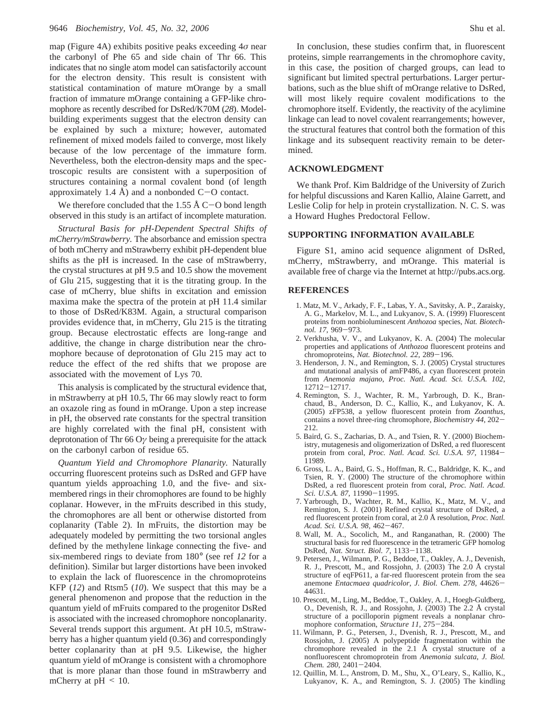map (Figure 4A) exhibits positive peaks exceeding 4*σ* near the carbonyl of Phe 65 and side chain of Thr 66. This indicates that no single atom model can satisfactorily account for the electron density. This result is consistent with statistical contamination of mature mOrange by a small fraction of immature mOrange containing a GFP-like chromophore as recently described for DsRed/K70M (*28*). Modelbuilding experiments suggest that the electron density can be explained by such a mixture; however, automated refinement of mixed models failed to converge, most likely because of the low percentage of the immature form. Nevertheless, both the electron-density maps and the spectroscopic results are consistent with a superposition of structures containing a normal covalent bond (of length approximately 1.4 Å) and a nonbonded  $C-O$  contact.

We therefore concluded that the 1.55  $\AA$  C-O bond length observed in this study is an artifact of incomplete maturation.

*Structural Basis for pH-Dependent Spectral Shifts of mCherry/mStrawberry.* The absorbance and emission spectra of both mCherry and mStrawberry exhibit pH-dependent blue shifts as the pH is increased. In the case of mStrawberry, the crystal structures at pH 9.5 and 10.5 show the movement of Glu 215, suggesting that it is the titrating group. In the case of mCherry, blue shifts in excitation and emission maxima make the spectra of the protein at pH 11.4 similar to those of DsRed/K83M. Again, a structural comparison provides evidence that, in mCherry, Glu 215 is the titrating group. Because electrostatic effects are long-range and additive, the change in charge distribution near the chromophore because of deprotonation of Glu 215 may act to reduce the effect of the red shifts that we propose are associated with the movement of Lys 70.

This analysis is complicated by the structural evidence that, in mStrawberry at pH 10.5, Thr 66 may slowly react to form an oxazole ring as found in mOrange. Upon a step increase in pH, the observed rate constants for the spectral transition are highly correlated with the final pH, consistent with deprotonation of Thr 66 O*γ* being a prerequisite for the attack on the carbonyl carbon of residue 65.

*Quantum Yield and Chromophore Planarity.* Naturally occurring fluorescent proteins such as DsRed and GFP have quantum yields approaching 1.0, and the five- and sixmembered rings in their chromophores are found to be highly coplanar. However, in the mFruits described in this study, the chromophores are all bent or otherwise distorted from coplanarity (Table 2). In mFruits, the distortion may be adequately modeled by permitting the two torsional angles defined by the methylene linkage connecting the five- and six-membered rings to deviate from 180° (see ref *12* for a definition). Similar but larger distortions have been invoked to explain the lack of fluorescence in the chromoproteins KFP (*12*) and Rtsm5 (*10*). We suspect that this may be a general phenomenon and propose that the reduction in the quantum yield of mFruits compared to the progenitor DsRed is associated with the increased chromophore noncoplanarity. Several trends support this argument. At pH 10.5, mStrawberry has a higher quantum yield (0.36) and correspondingly better coplanarity than at pH 9.5. Likewise, the higher quantum yield of mOrange is consistent with a chromophore that is more planar than those found in mStrawberry and mCherry at  $pH \leq 10$ .

In conclusion, these studies confirm that, in fluorescent proteins, simple rearrangements in the chromophore cavity, in this case, the position of charged groups, can lead to significant but limited spectral perturbations. Larger perturbations, such as the blue shift of mOrange relative to DsRed, will most likely require covalent modifications to the chromophore itself. Evidently, the reactivity of the acylimine linkage can lead to novel covalent rearrangements; however, the structural features that control both the formation of this linkage and its subsequent reactivity remain to be determined.

# **ACKNOWLEDGMENT**

We thank Prof. Kim Baldridge of the University of Zurich for helpful discussions and Karen Kallio, Alaine Garrett, and Leslie Colip for help in protein crystallization. N. C. S. was a Howard Hughes Predoctoral Fellow.

## **SUPPORTING INFORMATION AVAILABLE**

Figure S1, amino acid sequence alignment of DsRed, mCherry, mStrawberry, and mOrange. This material is available free of charge via the Internet at http://pubs.acs.org.

## **REFERENCES**

- 1. Matz, M. V., Arkady, F. F., Labas, Y. A., Savitsky, A. P., Zaraisky, A. G., Markelov, M. L., and Lukyanov, S. A. (1999) Fluorescent proteins from nonbioluminescent *Anthozoa* species, *Nat. Biotechnol. 17*, 969-973.
- 2. Verkhusha, V. V., and Lukyanov, K. A. (2004) The molecular properties and applications of *Anthozoa* fluorescent proteins and chromoproteins, *Nat. Biotechnol. 22*, 289-196.
- 3. Henderson, J. N., and Remington, S. J. (2005) Crystal structures and mutational analysis of amFP486, a cyan fluorescent protein from *Anemonia majano*, *Proc. Natl. Acad. Sci. U.S.A. 102*, <sup>12712</sup>-12717.
- 4. Remington, S. J., Wachter, R. M., Yarbrough, D. K., Branchaud, B., Anderson, D. C., Kallio, K., and Lukyanov, K. A. (2005) zFP538, a yellow fluorescent protein from *Zoanthus*, contains a novel three-ring chromophore, *Biochemistry 44*, 202- 212.
- 5. Baird, G. S., Zacharias, D. A., and Tsien, R. Y. (2000) Biochemistry, mutagenesis and oligomerization of DsRed, a red fluorescent protein from coral, *Proc. Natl. Acad. Sci. U.S.A. 97*, 11984- 11989.
- 6. Gross, L. A., Baird, G. S., Hoffman, R. C., Baldridge, K. K., and Tsien, R. Y. (2000) The structure of the chromophore within DsRed, a red fluorescent protein from coral, *Proc. Natl. Acad. Sci. U.S.A. 87*, 11990-11995.
- 7. Yarbrough, D., Wachter, R. M., Kallio, K., Matz, M. V., and Remington, S. J. (2001) Refined crystal structure of DsRed, a red fluorescent protein from coral, at 2.0 Å resolution, *Proc. Natl. Acad. Sci. U.S.A. 98*, 462-467.
- 8. Wall, M. A., Socolich, M., and Ranganathan, R. (2000) The structural basis for red fluorescence in the tetrameric GFP homolog DsRed, *Nat. Struct. Biol. 7*, 1133-1138.
- 9. Petersen, J., Wilmann, P. G., Beddoe, T., Oakley, A. J., Devenish, R. J., Prescott, M., and Rossjohn, J. (2003) The 2.0 Å crystal structure of eqFP611, a far-red fluorescent protein from the sea anemone *Entacmaea quadricolor*, *J. Biol. Chem. 278*, 44626- 44631.
- 10. Prescott, M., Ling, M., Beddoe, T., Oakley, A. J., Hoegh-Guldberg, O., Devenish, R. J., and Rossjohn, J. (2003) The 2.2 Å crystal structure of a pocilloporin pigment reveals a nonplanar chromophore conformation, *Structure 11*, 275-284.
- 11. Wilmann, P. G., Petersen, J., Dvenish, R. J., Prescott, M., and Rossjohn, J. (2005) A polypeptide fragmentation within the chromophore revealed in the 2.1 Å crystal structure of a nonfluorescent chromoprotein from *Anemonia sulcata*, *J. Biol. Chem. 280*, 2401-2404.
- 12. Quillin, M. L., Anstrom, D. M., Shu, X., O'Leary, S., Kallio, K., Lukyanov, K. A., and Remington, S. J. (2005) The kindling